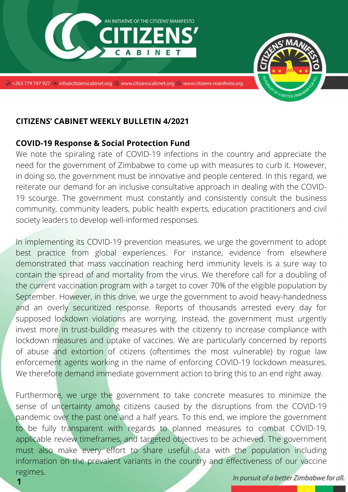

## **CITIZENS' CABINET WEEKLY BULLETIN 4/2021**

## **COVID-19 Response & Social Protection Fund**

We note the spiraling rate of COVID-19 infections in the country and appreciate the need for the government of Zimbabwe to come up with measures to curb it. However, in doing so, the government must be innovative and people centered. In this regard, we reiterate our demand for an inclusive consultative approach in dealing with the COVID-19 scourge. The government must constantly and consistently consult the business community, community leaders, public health experts, education practitioners and civil society leaders to develop well-informed responses.

In implementing its COVID-19 prevention measures, we urge the government to adopt best practice from global experiences. For instance, evidence from elsewhere demonstrated that mass vaccination reaching herd immunity levels is a sure way to contain the spread of and mortality from the virus. We therefore call for a doubling of the current vaccination program with a target to cover 70% of the eligible population by September. However, in this drive, we urge the government to avoid heavy-handedness and an overly securitized response. Reports of thousands arrested every day for supposed lockdown violations are worrying. Instead, the government must urgently invest more in trust-building measures with the citizenry to increase compliance with lockdown measures and uptake of vaccines. We are particularly concerned by reports of abuse and extortion of citizens (oftentimes the most vulnerable) by rogue law enforcement agents working in the name of enforcing COVID-19 lockdown measures. We therefore demand immediate government action to bring this to an end right away.

Furthermore, we urge the government to take concrete measures to minimize the sense of uncertainty among citizens caused by the disruptions from the COVID-19 pandemic over the past one and a half years. To this end, we implore the government to be fully transparent with regards to planned measures to combat COVID-19, applicable review timeframes, and targeted objectives to be achieved. The government must also make every effort to share useful data with the population including information on the prevalent variants in the country and effectiveness of our vaccine regimes.

In pursuit of a better Zimbabwe for all.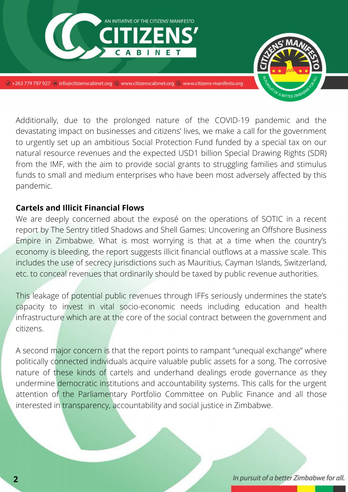

Additionally, due to the prolonged nature of the COVID-19 pandemic and the devastating impact on businesses and citizens' lives, we make a call for the government to urgently set up an ambitious Social Protection Fund funded by a special tax on our natural resource revenues and the expected USD1 billion Special Drawing Rights (SDR) from the IMF, with the aim to provide social grants to struggling families and stimulus funds to small and medium enterprises who have been most adversely affected by this pandemic.

## **Cartels and Illicit Financial Flows**

We are deeply concerned about the exposé on the operations of SOTIC in a recent report by The Sentry titled Shadows and Shell Games: Uncovering an Offshore Business Empire in Zimbabwe. What is most worrying is that at a time when the country's economy is bleeding, the report suggests illicit financial outflows at a massive scale. This includes the use of secrecy jurisdictions such as Mauritius, Cayman Islands, Switzerland, etc. to conceal revenues that ordinarily should be taxed by public revenue authorities.

This leakage of potential public revenues through IFFs seriously undermines the state's capacity to invest in vital socio-economic needs including education and health infrastructure which are at the core of the social contract between the government and citizens.

A second major concern is that the report points to rampant "unequal exchange" where politically connected individuals acquire valuable public assets for a song. The corrosive nature of these kinds of cartels and underhand dealings erode governance as they undermine democratic institutions and accountability systems. This calls for the urgent attention of the Parliamentary Portfolio Committee on Public Finance and all those interested in transparency, accountability and social justice in Zimbabwe.

In pursuit of a better Zimbabwe for all.